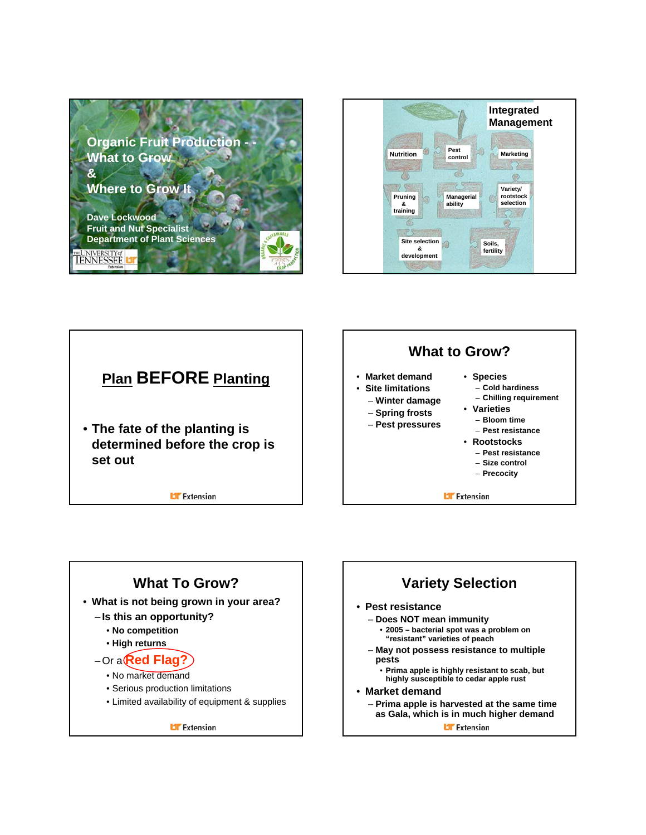







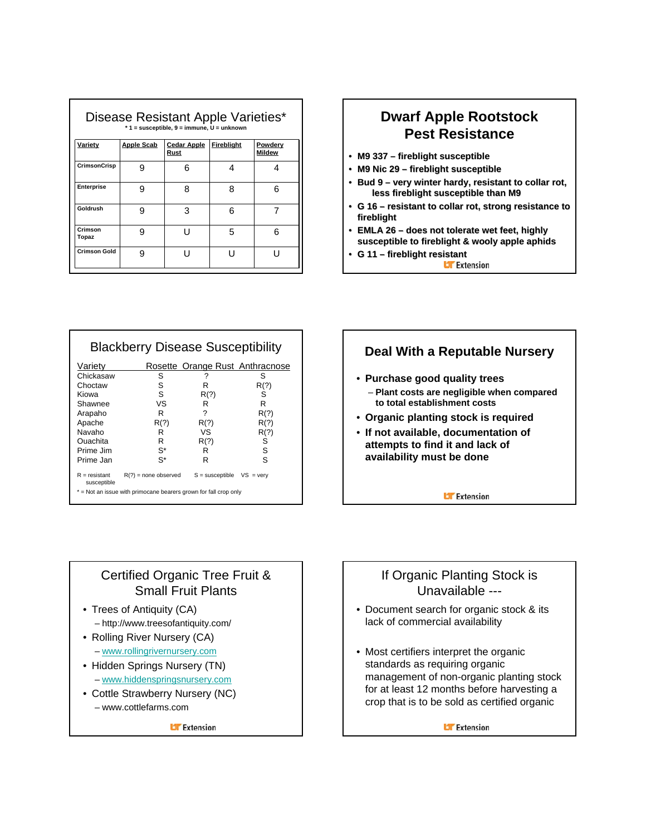| Disease Resistant Apple Varieties*<br>$*$ 1 = susceptible, 9 = immune, $U =$ unknown |                   |                            |            |                          |
|--------------------------------------------------------------------------------------|-------------------|----------------------------|------------|--------------------------|
| <u>Variety</u>                                                                       | <b>Apple Scab</b> | <b>Cedar Apple</b><br>Rust | Fireblight | Powdery<br><b>Mildew</b> |
| <b>CrimsonCrisp</b>                                                                  | я                 | ิค                         | 4          | Δ                        |
| Enterprise                                                                           | я                 | 8                          | 8          | 6                        |
| Goldrush                                                                             | g                 | 3                          | 6          |                          |
| Crimson<br>Topaz                                                                     | q                 | י ו                        | 5          | ี                        |
| <b>Crimson Gold</b>                                                                  | g                 | י ו                        | י ו        |                          |

### **Dwarf Apple Rootstock Pest Resistance**

- M9 337 fireblight susceptible
- M9 Nic 29 fireblight susceptible
- Bud 9 very winter hardy, resistant to collar rot, **less fireblight fireblight susceptible than M9**
- **G 16 resistant to collar rot, strong resistance to fireblight**
- **EMLA 26 does not tolerate wet feet, highly susceptible to to fireblight fireblight& wooly apple aphids**
- **G 11 – fireblight fireblight resistant resistant**

| <b>Blackberry Disease Susceptibility</b>                         |                        |                                 |                    |  |
|------------------------------------------------------------------|------------------------|---------------------------------|--------------------|--|
| Variety                                                          |                        | Rosette Orange Rust Anthracnose |                    |  |
| Chickasaw                                                        | S                      | ?                               | S                  |  |
| Choctaw                                                          | S                      | R                               | R(?)               |  |
| Kiowa                                                            | S                      | R(?)                            | S                  |  |
| Shawnee                                                          | vs                     | R                               | R                  |  |
| Arapaho                                                          | R                      | ?                               | R(?)               |  |
| Apache                                                           | R(?)                   | R(?)                            | R(?)               |  |
| Navaho                                                           | R                      | VS                              | R(?)               |  |
| Ouachita                                                         | R                      | R(?)                            | S                  |  |
| Prime Jim                                                        | S*                     | R                               | S                  |  |
| Prime Jan                                                        | S*                     | R                               | S                  |  |
| $R =$ resistant<br>susceptible                                   | $R(?)$ = none observed | $S =$ susceptible               | $VS = \text{very}$ |  |
| * = Not an issue with primocane bearers grown for fall crop only |                        |                                 |                    |  |

### **Deal With a Reputable Nursery**

- **Purchase good quality trees** – **Plant costs are negligible when compared to total establishment costs**
- **Organic planting stock is required**
- **If not available, documentation of attempts to find it and lack of availability must be done**

**U** Extension

### Certified Organic Tree Fruit & Small Fruit Plants

- Trees of Antiquity (CA) – http://www.treesofantiquity.com/
- Rolling River Nursery (CA) – www.rollingrivernursery.com
- Hidden Springs Nursery (TN) – www.hiddenspringsnursery.com
- Cottle Strawberry Nursery (NC) – www.cottlefarms.com

**Li** Extension

### If Organic Planting Stock is Unavailable ---

- Document search for organic stock & its lack of commercial availability
- Most certifiers interpret the organic standards as requiring organic management of non-organic planting stock for at least 12 months before harvesting a crop that is to be sold as certified organic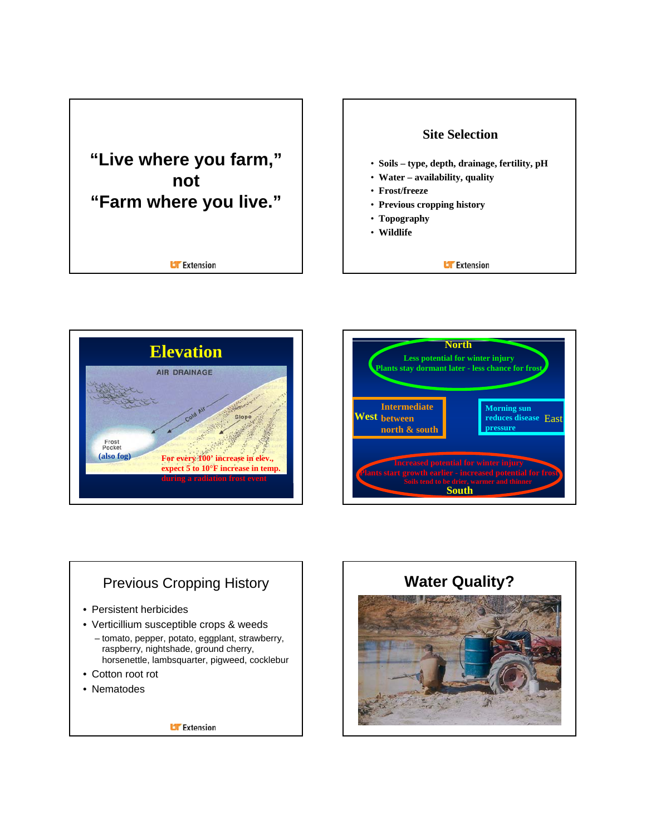









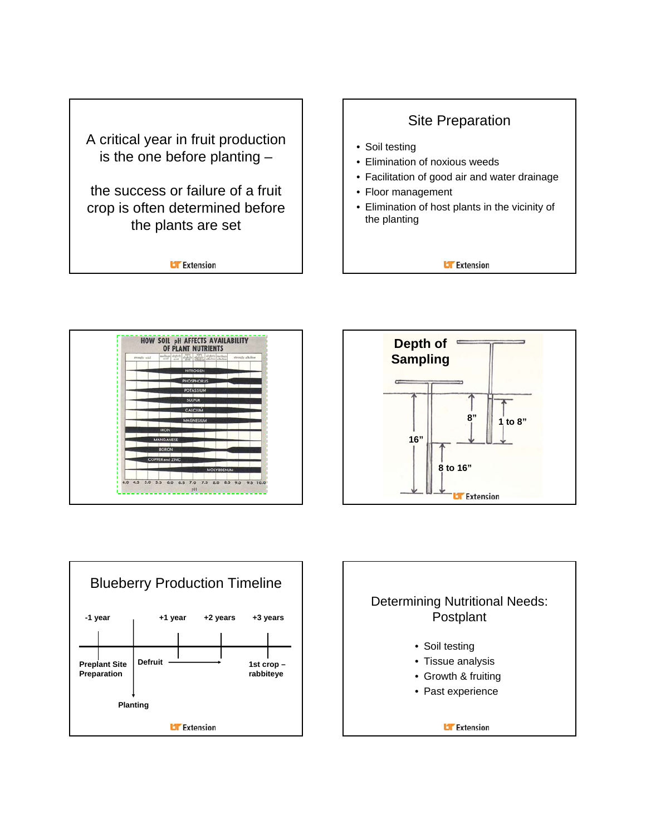







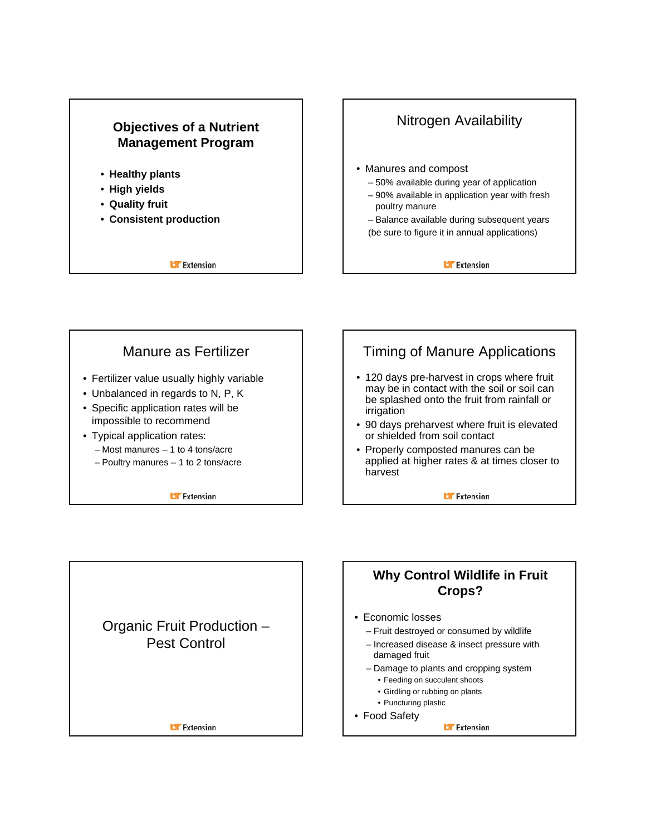

Organic Fruit Production – Pest Control

**Li** Extension





**Why Control Wildlife in Fruit Crops?**

- Economic losses
	- Fruit destroyed or consumed by wildlife
	- Increased disease & insect pressure with damaged fruit
	- Damage to plants and cropping system
		- Feeding on succulent shoots
		- Girdling or rubbing on plants
		- Puncturing plastic
- Food Safety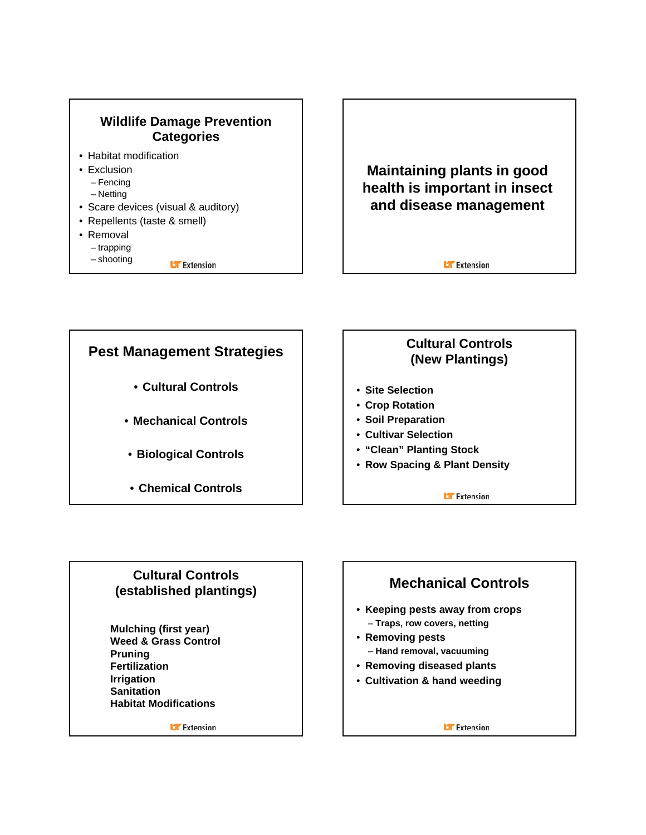





### **Cultural Controls (established plantings)**

**Mulching (first year) Weed & Grass Control Pruning Fertilization Irrigation Sanitation Habitat Modifications**

**U** Extension

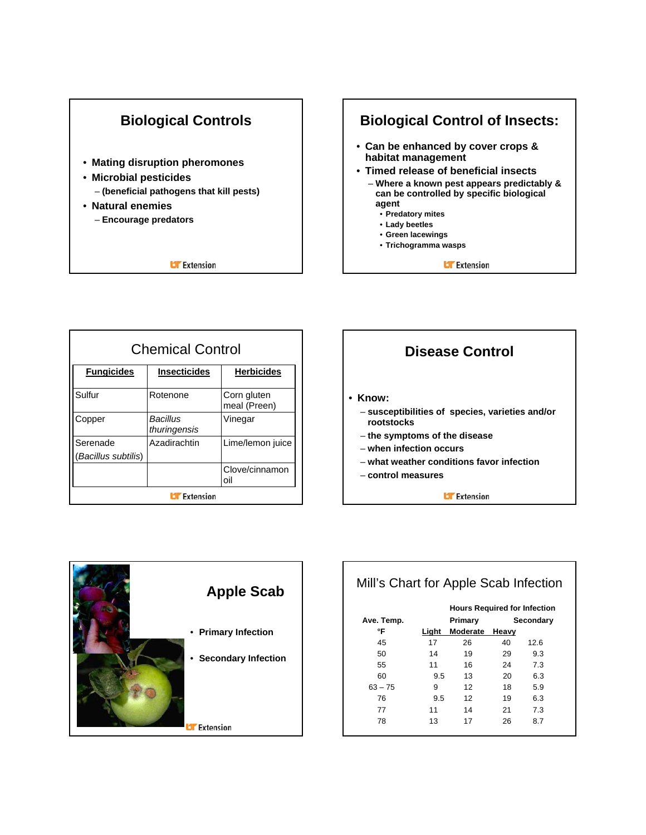



| <b>Chemical Control</b>         |                          |                             |  |  |
|---------------------------------|--------------------------|-----------------------------|--|--|
| <b>Fungicides</b>               | <b>Insecticides</b>      | <b>Herbicides</b>           |  |  |
| Sulfur                          | Rotenone                 | Corn gluten<br>meal (Preen) |  |  |
| Copper                          | Bacillus<br>thuringensis | Vinegar                     |  |  |
| Serenade<br>(Bacillus subtilis) | Azadirachtin             | Lime/lemon juice            |  |  |
|                                 |                          | Clove/cinnamon<br>oil       |  |  |
| <b>Extension</b>                |                          |                             |  |  |





|            |       | <b>Hours Required for Infection</b> |       |           |
|------------|-------|-------------------------------------|-------|-----------|
| Ave. Temp. |       | Primary                             |       | Secondary |
| °F         | Light | <b>Moderate</b>                     | Heavy |           |
| 45         | 17    | 26                                  | 40    | 12.6      |
| 50         | 14    | 19                                  | 29    | 9.3       |
| 55         | 11    | 16                                  | 24    | 7.3       |
| 60         | 9.5   | 13                                  | 20    | 6.3       |
| $63 - 75$  | 9     | 12                                  | 18    | 5.9       |
| 76         | 9.5   | 12                                  | 19    | 6.3       |
| 77         | 11    | 14                                  | 21    | 7.3       |
| 78         | 13    | 17                                  | 26    | 8.7       |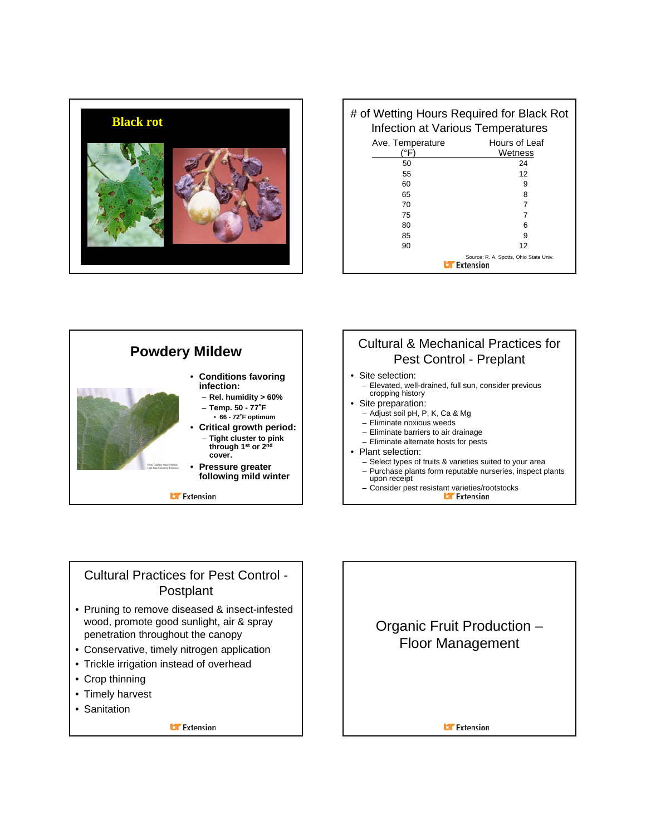

| <b>Black rot</b> | # of Wetting Hours Required for Black Rot<br>Infection at Various Temperatures |                                                                                           |  |
|------------------|--------------------------------------------------------------------------------|-------------------------------------------------------------------------------------------|--|
|                  | Ave. Temperature<br>(°F)<br>50<br>55<br>60<br>65<br>70<br>75<br>80<br>85<br>90 | Hours of Leaf<br>Wetness<br>24<br>12<br>9<br>12<br>Source: R. A. Spotts, Ohio State Univ. |  |
|                  | Extension                                                                      |                                                                                           |  |



### Cultural Practices for Pest Control - Postplant

- Pruning to remove diseased & insect-infested wood, promote good sunlight, air & spray penetration throughout the canopy
- Conservative, timely nitrogen application
- Trickle irrigation instead of overhead
- Crop thinning
- Timely harvest
- Sanitation

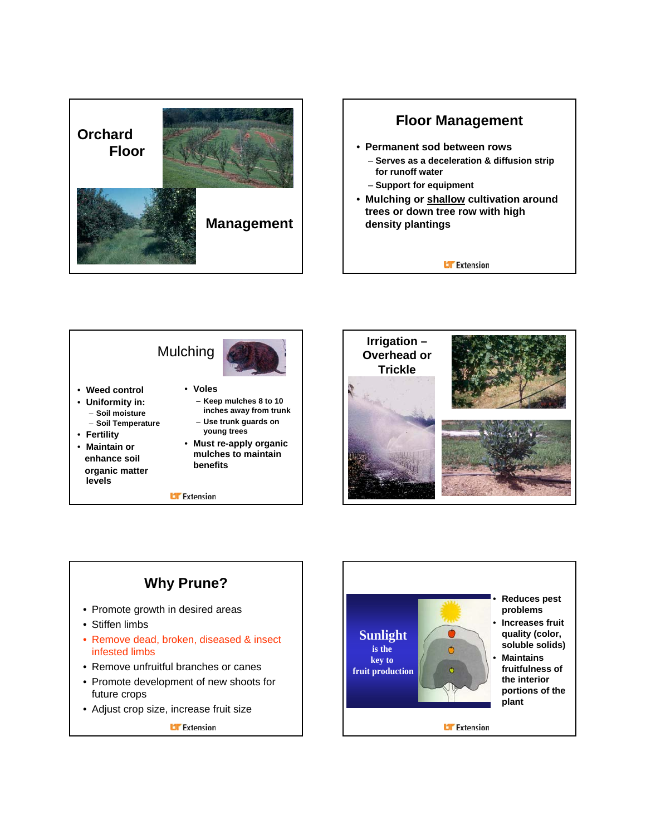









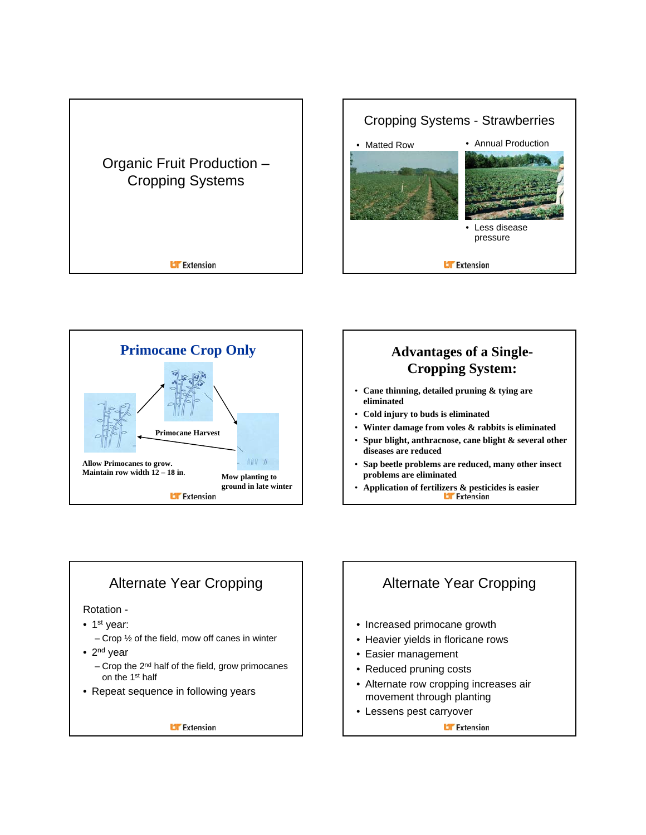





# **Cropping System:**

- **Cane thinning, detailed pruning & tying are eliminated**
- **Cold injury to buds is eliminated**
- **Winter damage from voles & rabbits is eliminated**
- **Spur blight, anthracnose, cane blight & several other diseases are reduced**
- **Sap beetle problems are reduced, many other insect problems are eliminated**
- **Application of fertilizers & pesticides is easier**

### Alternate Year Cropping

#### Rotation -

- $\bullet$  1<sup>st</sup> year:
	- Crop  $\frac{1}{2}$  of the field, mow off canes in winter
- $2<sup>nd</sup>$  year
	- Crop the 2nd half of the field, grow primocanes on the 1st half
- Repeat sequence in following years

**Li** Extension

### Alternate Year Cropping

- Increased primocane growth
- Heavier yields in floricane rows
- Easier management
- Reduced pruning costs
- Alternate row cropping increases air movement through planting
- Lessens pest carryover